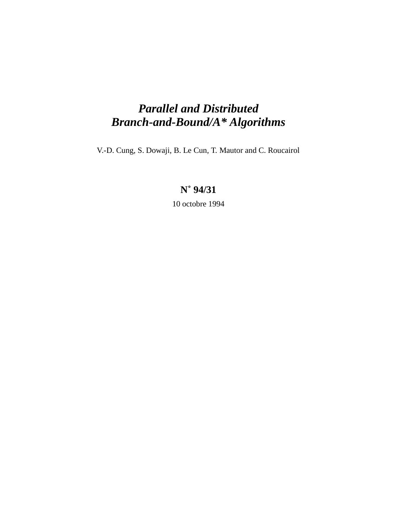# *Parallel and Distributed Branch-and-Bound/A\* Algorithms*

V.-D. Cung, S. Dowaji, B. Le Cun, T. Mautor and C. Roucairol

## **N˚ 94/31**

10 octobre 1994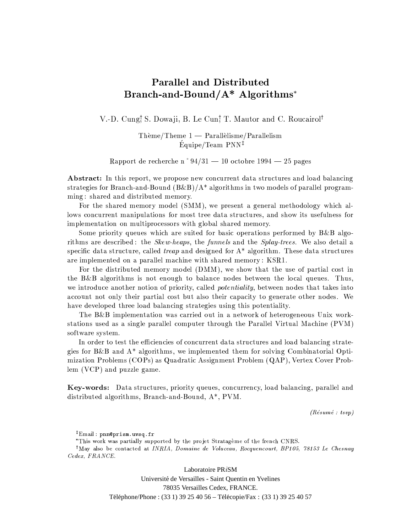## **Parallel and Distributed** Branch-and-Bound/A\* Algorithms\*

V.-D. Cung! S. Dowaji, B. Le Cun! T. Mautor and C. Roucairol<sup>†</sup>

 $\text{Thème/Theme } 1 - \text{Parallelisme/Parallelism}$  $Équipe/Team PNN<sup>‡</sup>$ 

Rapport de recherche n° 94/31 — 10 octobre 1994 — 25 pages

**Abstract:** In this report, we propose new concurrent data structures and load balancing strategies for Branch-and-Bound  $(B&B)/A^*$  algorithms in two models of parallel programming: shared and distributed memory.

For the shared memory model (SMM), we present a general methodology which allows concurrent manipulations for most tree data structures, and show its usefulness for implementation on multiprocessors with global shared memory.

Some priority queues which are suited for basic operations performed by B&B algorithms are described: the *Skew-heaps*, the *funnels* and the *Splay-trees*. We also detail a specific data structure, called *treap* and designed for  $A^*$  algorithm. These data structures are implemented on a parallel machine with shared memory: KSR1.

For the distributed memory model (DMM), we show that the use of partial cost in the B&B algorithms is not enough to balance nodes between the local queues. Thus, we introduce another notion of priority, called *potentiality*, between nodes that takes into account not only their partial cost but also their capacity to generate other nodes. We have developed three load balancing strategies using this potentiality.

The B&B implementation was carried out in a network of heterogeneous Unix workstations used as a single parallel computer through the Parallel Virtual Machine (PVM) software system.

In order to test the efficiencies of concurrent data structures and load balancing strategies for  $B\&B$  and  $A^*$  algorithms, we implemented them for solving Combinatorial Optimization Problems (COPs) as Quadratic Assignment Problem (QAP), Vertex Cover Problem (VCP) and puzzle game.

**Key-words:** Data structures, priority queues, concurrency, load balancing, parallel and distributed algorithms, Branch-and-Bound,  $A^*$ , PVM.

 $(R$ ésumé : tsvp $)$ 

\*This work was partially supported by the projet Stratagème of the french CNRS.

<sup>†</sup>May also be contacted at *INRIA*, *Domaine de Voluceau*, *Rocquencourt*, *BP105*, 78153 *Le Chesnay* Cedex, FRANCE.

> Laboratoire PR iSM Université de Versailles - Saint Quentin en Yvelines 78035 Versailles Cedex, FRANCE. Téléphone/Phone: (33 1) 39 25 40 56 - Télécopie/Fax: (33 1) 39 25 40 57

<sup>&</sup>lt;sup>‡</sup>Email: pnn@prism.uvsq.fr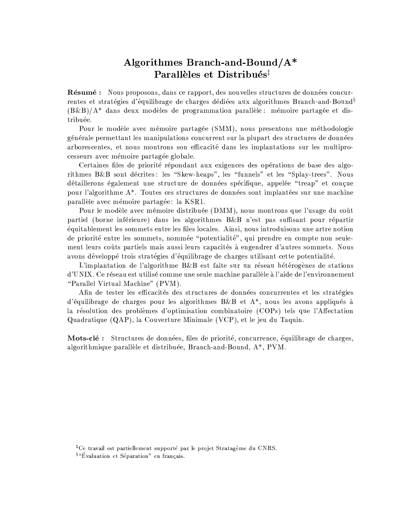## Algorithmes Branch-and-Bound/A\* Parallèles et Distribués<sup>‡</sup>

Résumé : Nous proposons, dans ce rapport, des nouvelles structures de données concurrentes et stratégies d'équilibrage de charges dédiées aux algorithmes Branch-and-Bound<sup>§</sup>  $(B\&B)/A^*$  dans deux modèles de programmation parallèle : mémoire partagée et distribuée.

Pour le modèle avec mémoire partagée (SMM), nous presentons une méthodologie générale permettant les manipulations concurrent sur la plupart des structures de données arborescentes, et nous montrons son efficacité dans les implantations sur les multiprocesseurs avec mémoire partagée globale.

Certaines files de priorité répondant aux exigences des opérations de base des algorithmes B&B sont décrites: les "Skew-heaps", les "funnels" et les "Splay-trees". Nous détaillerons également une structure de données spécifique, appelée "treap" et conçue pour l'algorithme A<sup>\*</sup>. Toutes ces structures de données sont implantées sur une machine parallèle avec mémoire partagée: la KSR1.

Pour le modèle avec mémoire distribuée (DMM), nous montrons que l'usage du coût partiel (borne inférieure) dans les algorithmes B&B n'est pas suffisant pour répartir équitablement les sommets entre les files locales. Ainsi, nous introduisons une artre notion de priorité entre les sommets, nommée "potentialité", qui prendre en compte non seulement leurs coûts partiels mais aussi leurs capacités à engendrer d'autres sommets. Nous avons développé trois stratégies d'équilibrage de charges utilisant cette potentialité.

L'implantation de l'algorithme  $B\&B$  est faite sur un réseau hétérogènes de stations d'UNIX. Ce réseau est utilisé comme une seule machine parallèle à l'aide de l'environnement "Parallel Virtual Machine" (PVM).

Afin de tester les efficacités des structures de données concurrentes et les stratégies d'équilibrage de charges pour les algorithmes  $B\&B$  et  $A^*$ , nous les avons appliqués à la résolution des problèmes d'optimisation combinatoire (COPs) tels que l'Affectation Quadratique (QAP), la Couverture Minimale (VCP), et le jeu du Taquin.

Mots-clé : Structures de données, files de priorité, concurrence, équilibrage de charges, algorithmique parallèle et distribuée, Branch-and-Bound, A\*, PVM.

<sup>‡</sup>Ce travail est partiellement supporté par le projet Stratagème du CNRS.

<sup>&</sup>lt;sup>§</sup> "Évaluation et Séparation" en français.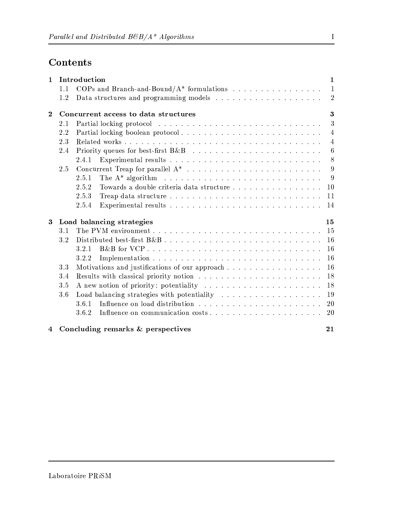## Contents

| $\mathbf{1}$   | Introduction<br>$\mathbf{1}$    |                                                                                               |                  |  |  |  |  |  |  |  |
|----------------|---------------------------------|-----------------------------------------------------------------------------------------------|------------------|--|--|--|--|--|--|--|
|                | 1.1                             |                                                                                               | $\mathbf{1}$     |  |  |  |  |  |  |  |
|                | 1.2                             |                                                                                               | $\overline{2}$   |  |  |  |  |  |  |  |
| $\mathbf{2}$   |                                 | 3<br>Concurrent access to data structures                                                     |                  |  |  |  |  |  |  |  |
|                | 2.1                             |                                                                                               | 3                |  |  |  |  |  |  |  |
|                | 2.2                             |                                                                                               | $\overline{4}$   |  |  |  |  |  |  |  |
|                | 2.3                             |                                                                                               | $\overline{4}$   |  |  |  |  |  |  |  |
|                | 2.4                             |                                                                                               | $\boldsymbol{6}$ |  |  |  |  |  |  |  |
|                |                                 | 2.4.1                                                                                         | 8                |  |  |  |  |  |  |  |
|                | 2.5                             |                                                                                               | -9               |  |  |  |  |  |  |  |
|                |                                 | The $A^*$ algorithm $\ldots \ldots \ldots \ldots \ldots \ldots \ldots \ldots \ldots$<br>2.5.1 | 9                |  |  |  |  |  |  |  |
|                |                                 | Towards a double criteria data structure<br>10<br>2.5.2                                       |                  |  |  |  |  |  |  |  |
|                |                                 | 11<br>2.5.3                                                                                   |                  |  |  |  |  |  |  |  |
|                |                                 | 2.5.4<br>14                                                                                   |                  |  |  |  |  |  |  |  |
| $\bf{3}$       | Load balancing strategies<br>15 |                                                                                               |                  |  |  |  |  |  |  |  |
|                | 3.1                             | 15                                                                                            |                  |  |  |  |  |  |  |  |
|                | 3.2                             | Distributed best-first B&B<br>16                                                              |                  |  |  |  |  |  |  |  |
|                |                                 | 16<br>3.2.1                                                                                   |                  |  |  |  |  |  |  |  |
|                |                                 | 16<br>3.2.2                                                                                   |                  |  |  |  |  |  |  |  |
|                | 3.3                             | 16<br>Motivations and justifications of our approach                                          |                  |  |  |  |  |  |  |  |
|                | 3.4                             | 18                                                                                            |                  |  |  |  |  |  |  |  |
|                | 3.5                             | 18<br>A new notion of priority: potentiality                                                  |                  |  |  |  |  |  |  |  |
|                | 3.6                             | 19                                                                                            |                  |  |  |  |  |  |  |  |
|                |                                 | 20<br>3.6.1                                                                                   |                  |  |  |  |  |  |  |  |
|                |                                 | 20<br>3.6.2                                                                                   |                  |  |  |  |  |  |  |  |
| $\overline{4}$ |                                 | Concluding remarks & perspectives<br>21                                                       |                  |  |  |  |  |  |  |  |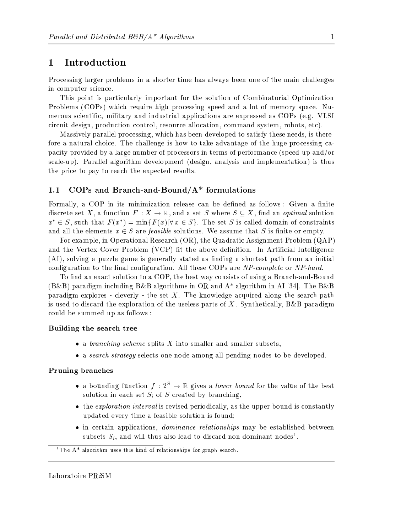#### Introduction  $\mathbf{1}$

Processing larger problems in a shorter time has always been one of the main challenges in computer science.

This point is particularly important for the solution of Combinatorial Optimization Problems (COPs) which require high processing speed and a lot of memory space. Numerous scientific, military and industrial applications are expressed as COPs (e.g. VLSI circuit design, production control, resource allocation, command system, robots, etc).

Massively parallel processing, which has been developed to satisfy these needs, is therefore a natural choice. The challenge is how to take advantage of the huge processing capacity provided by a large number of processors in terms of performance (speed-up and/or scale-up). Parallel algorithm development (design, analysis and implementation) is thus the price to pay to reach the expected results.

#### COPs and Branch-and-Bound/ $A^*$  formulations  $1.1$

Formally, a COP in its minimization release can be defined as follows: Given a finite discrete set X, a function  $F: X \to \mathbb{R}$ , and a set S where  $S \subseteq X$ , find an *optimal* solution  $x^* \in S$ , such that  $F(x^*) = \min\{F(x)|\forall x \in S\}$ . The set S is called domain of constraints and all the elements  $x \in S$  are *feasible* solutions. We assume that S is finite or empty.

For example, in Operational Research (OR), the Quadratic Assignment Problem (QAP) and the Vertex Cover Problem (VCP) fit the above definition. In Artificial Intelligence (AI), solving a puzzle game is generally stated as finding a shortest path from an initial configuration to the final configuration. All these COPs are NP-complete or NP-hard.

To find an exact solution to a COP, the best way consists of using a Branch-and-Bound  $(B&B)$  paradigm including  $B&B$  algorithms in OR and  $A^*$  algorithm in AI [34]. The  $B&B$ paradigm explores - cleverly - the set X. The knowledge acquired along the search path is used to discard the exploration of the useless parts of X. Synthetically,  $B\&B$  paradigm could be summed up as follows:

### Building the search tree

- a branching scheme splits  $X$  into smaller and smaller subsets,
- a *search strategy* selects one node among all pending nodes to be developed.

### Pruning branches

- a bounding function  $f: 2^S \to \mathbb{R}$  gives a *lower bound* for the value of the best solution in each set  $S_i$  of S created by branching,
- the exploration interval is revised periodically, as the upper bound is constantly updated every time a feasible solution is found;
- in certain applications, *dominance relationships* may be established between subsets  $S_i$ , and will thus also lead to discard non-dominant nodes<sup>1</sup>.

<sup>&</sup>lt;sup>1</sup>The  $A^*$  algorithm uses this kind of relationships for graph search.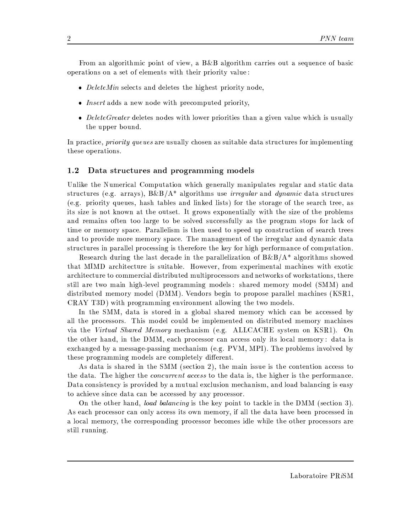From an algorithmic point of view, a  $B\&B$  algorithm carries out a sequence of basic operations on a set of elements with their priority value:

- DeleteMin selects and deletes the highest priority node,
- *Insert* adds a new node with precomputed priority,
- Delete Greater deletes nodes with lower priorities than a given value which is usually the upper bound.

In practice, *priority queues* are usually chosen as suitable data structures for implementing these operations.

#### Data structures and programming models  $1.2$

Unlike the Numerical Computation which generally manipulates regular and static data structures (e.g. arrays),  $B\&B/A^*$  algorithms use *irregular* and *dynamic* data structures (e.g. priority queues, hash tables and linked lists) for the storage of the search tree, as its size is not known at the outset. It grows exponentially with the size of the problems and remains often too large to be solved successfully as the program stops for lack of time or memory space. Parallelism is then used to speed up construction of search trees and to provide more memory space. The management of the irregular and dynamic data structures in parallel processing is therefore the key for high performance of computation.

Research during the last decade in the parallelization of  $B&B/A^*$  algorithms showed that MIMD architecture is suitable. However, from experimental machines with exotic architecture to commercial distributed multiprocessors and networks of workstations, there still are two main high-level programming models: shared memory model (SMM) and distributed memory model (DMM). Vendors begin to propose parallel machines (KSR1, CRAY T3D) with programming environment allowing the two models.

In the SMM, data is stored in a global shared memory which can be accessed by all the processors. This model could be implemented on distributed memory machines via the Virtual Shared Memory mechanism (e.g. ALLCACHE system on KSR1). On the other hand, in the DMM, each processor can access only its local memory: data is exchanged by a message-passing mechanism (e.g. PVM, MPI). The problems involved by these programming models are completely different.

As data is shared in the SMM (section 2), the main issue is the contention access to the data. The higher the *concurrent access* to the data is, the higher is the performance. Data consistency is provided by a mutual exclusion mechanism, and load balancing is easy to achieve since data can be accessed by any processor.

On the other hand, *load balancing* is the key point to tackle in the DMM (section 3). As each processor can only access its own memory, if all the data have been processed in a local memory, the corresponding processor becomes idle while the other processors are still running.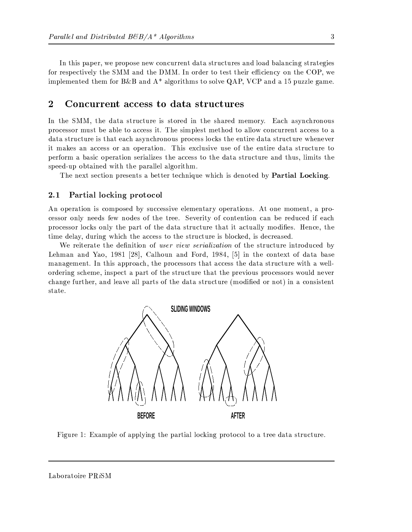In this paper, we propose new concurrent data structures and load balancing strategies for respectively the SMM and the DMM. In order to test their efficiency on the COP, we implemented them for B&B and  $A^*$  algorithms to solve QAP, VCP and a 15 puzzle game.

#### $\overline{2}$ Concurrent access to data structures

In the SMM, the data structure is stored in the shared memory. Each asynchronous processor must be able to access it. The simplest method to allow concurrent access to a data structure is that each asynchronous process locks the entire data structure whenever it makes an access or an operation. This exclusive use of the entire data structure to perform a basic operation serializes the access to the data structure and thus, limits the speed-up obtained with the parallel algorithm.

The next section presents a better technique which is denoted by **Partial Locking**.

#### $2.1$ Partial locking protocol

An operation is composed by successive elementary operations. At one moment, a processor only needs few nodes of the tree. Severity of contention can be reduced if each processor locks only the part of the data structure that it actually modifies. Hence, the time delay, during which the access to the structure is blocked, is decreased.

We reiterate the definition of *user view serialization* of the structure introduced by Lehman and Yao, 1981 [28], Calhoun and Ford, 1984, [5] in the context of data base management. In this approach, the processors that access the data structure with a wellordering scheme, inspect a part of the structure that the previous processors would never change further, and leave all parts of the data structure (modified or not) in a consistent state.



Figure 1: Example of applying the partial locking protocol to a tree data structure.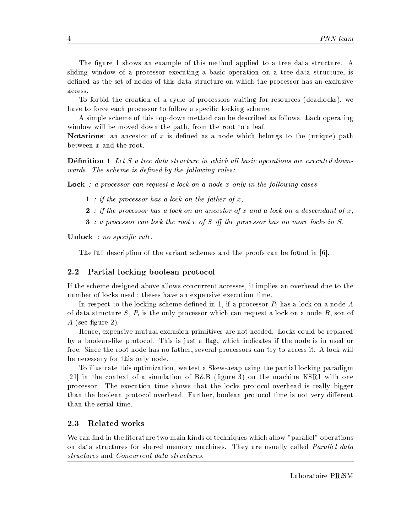The figure 1 shows an example of this method applied to a tree data structure. A sliding window of a processor executing a basic operation on a tree data structure, is defined as the set of nodes of this data structure on which the processor has an exclusive access.

To forbid the creation of a cycle of processors waiting for resources (deadlocks), we have to force each processor to follow a specific locking scheme.

A simple scheme of this top-down method can be described as follows. Each operating window will be moved down the path, from the root to a leaf.

**Notations:** an ancestor of x is defined as a node which belongs to the (unique) path between  $x$  and the root.

**Définition 1** Let S a tree data structure in which all basic operations are executed downwards. The scheme is defined by the following rules:

**Lock** : a processor can request a lock on a node x only in the following cases

- $1$  : if the processor has a lock on the father of x,
- 2 : if the processor has a lock on an ancestor of x and a lock on a descendant of x,
- **3** : a processor can lock the root r of S iff the processor has no more locks in S.

**Unlock** : no specific rule.

The full description of the variant schemes and the proofs can be found in  $[6]$ .

#### Partial locking boolean protocol  $2.2\,$

If the scheme designed above allows concurrent accesses, it implies an overhead due to the number of locks used : theses have an expensive execution time.

In respect to the locking scheme defined in 1, if a processor  $P_i$  has a lock on a node A of data structure  $S, P_i$  is the only processor which can request a lock on a node B, son of A (see figure 2).

Hence, expensive mutual exclusion primitives are not needed. Locks could be replaced by a boolean-like protocol. This is just a flag, which indicates if the node is in used or free. Since the root node has no father, several processors can try to access it. A lock will be necessary for this only node.

To illustrate this optimization, we test a Skew-heap using the partial locking paradigm [21] in the context of a simulation of B&B (figure 3) on the machine KSR1 with one processor. The execution time shows that the locks protocol overhead is really bigger than the boolean protocol overhead. Further, boolean protocol time is not very different than the serial time.

#### 2.3 Related works

We can find in the literature two main kinds of techniques which allow "parallel" operations on data structures for shared memory machines. They are usually called *Parallel data* structures and Concurrent data structures.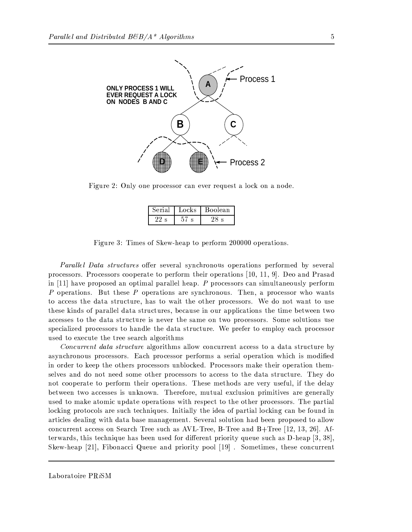

Figure 2: Only one processor can ever request a lock on a node.

| Nerial - | Locks | Boolean |  |  |
|----------|-------|---------|--|--|
|          |       |         |  |  |

Figure 3: Times of Skew-heap to perform 200000 operations.

*Parallel Data structures* offer several synchronous operations performed by several processors. Processors cooperate to perform their operations [10, 11, 9]. Deo and Prasad in [11] have proposed an optimal parallel heap. P processors can simultaneously perform P operations. But these P operations are synchronous. Then, a processor who wants to access the data structure, has to wait the other processors. We do not want to use these kinds of parallel data structures, because in our applications the time between two accesses to the data structure is never the same on two processors. Some solutions use specialized processors to handle the data structure. We prefer to employ each processor used to execute the tree search algorithms

*Concurrent data structure* algorithms allow concurrent access to a data structure by asynchronous processors. Each processor performs a serial operation which is modified in order to keep the others processors unblocked. Processors make their operation themselves and do not need some other processors to access to the data structure. They do not cooperate to perform their operations. These methods are very useful, if the delay between two accesses is unknown. Therefore, mutual exclusion primitives are generally used to make atomic update operations with respect to the other processors. The partial locking protocols are such techniques. Initially the idea of partial locking can be found in articles dealing with data base management. Several solution had been proposed to allow concurrent access on Search Tree such as AVL-Tree, B-Tree and B+Tree [12, 13, 26]. Afterwards, this technique has been used for different priority queue such as  $D$ -heap [3, 38], Skew-heap [21], Fibonacci Queue and priority pool [19]. Sometimes, these concurrent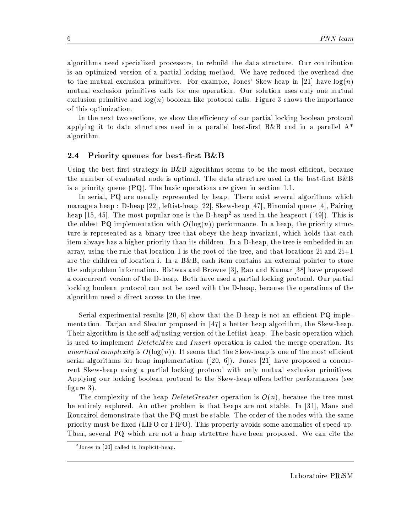algorithms need specialized processors, to rebuild the data structure. Our contribution is an optimized version of a partial locking method. We have reduced the overhead due to the mutual exclusion primitives. For example, Jones' Skew-heap in [21] have  $log(n)$ mutual exclusion primitives calls for one operation. Our solution uses only one mutual exclusion primitive and  $log(n)$  boolean like protocol calls. Figure 3 shows the importance of this optimization.

In the next two sections, we show the efficiency of our partial locking boolean protocol applying it to data structures used in a parallel best-first B&B and in a parallel  $A^*$ algorithm.

#### $2.4$ Priority queues for best-first B&B

Using the best-first strategy in  $B\&B$  algorithms seems to be the most efficient, because the number of evaluated node is optimal. The data structure used in the best-first B&B is a priority queue  $(PQ)$ . The basic operations are given in section 1.1.

In serial, PQ are usually represented by heap. There exist several algorithms which manage a heap : D-heap [22], leftist-heap [22], Skew-heap [47], Binomial queue [4], Pairing heap [15, 45]. The most popular one is the D-heap<sup>2</sup> as used in the heapsort ([49]). This is the oldest PQ implementation with  $O(\log(n))$  performance. In a heap, the priority structure is represented as a binary tree that obeys the heap invariant, which holds that each item always has a higher priority than its children. In a D-heap, the tree is embedded in an array, using the rule that location 1 is the root of the tree, and that locations 2i and  $2i+1$ are the children of location i. In a  $B\&B$ , each item contains an external pointer to store the subproblem information. Bistwas and Browne [3], Rao and Kumar [38] have proposed a concurrent version of the D-heap. Both have used a partial locking protocol. Our partial locking boolean protocol can not be used with the D-heap, because the operations of the algorithm need a direct access to the tree.

Serial experimental results [20, 6] show that the D-heap is not an efficient PQ implementation. Tarjan and Sleator proposed in [47] a better heap algorithm, the Skew-heap. Their algorithm is the self-adjusting version of the Leftist-heap. The basic operation which is used to implement *DeleteMin* and *Insert* operation is called the merge operation. Its amortized complexity is  $O(\log(n))$ . It seems that the Skew-heap is one of the most efficient serial algorithms for heap implementation ([20, 6]). Jones [21] have proposed a concurrent Skew-heap using a partial locking protocol with only mutual exclusion primitives. Applying our locking boolean protocol to the Skew-heap offers better performances (see figure  $3$ ).

The complexity of the heap *DeleteGreater* operation is  $O(n)$ , because the tree must be entirely explored. An other problem is that heaps are not stable. In [31], Mans and Roucairol demonstrate that the PQ must be stable. The order of the nodes with the same priority must be fixed (LIFO or FIFO). This property avoids some anomalies of speed-up. Then, several PQ which are not a heap structure have been proposed. We can cite the

 $2$  Jones in [20] called it Implicit-heap.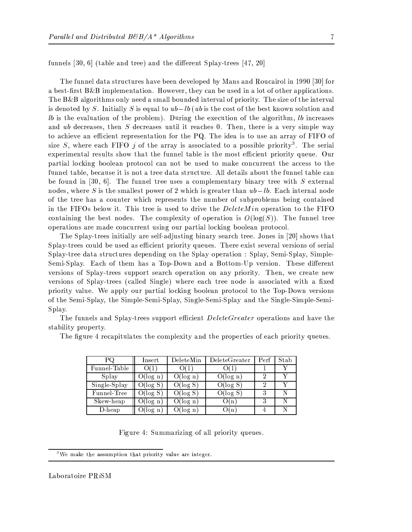funnels [30, 6] (table and tree) and the different Splay-trees [47, 20]

The funnel data structures have been developed by Mans and Roucairol in 1990 [30] for a best-first  $B\&B$  implementation. However, they can be used in a lot of other applications. The B&B algorithms only need a small bounded interval of priority. The size of the interval is denoted by S. Initially S is equal to  $ub - lb$  (*ub* is the cost of the best known solution and  $lb$  is the evaluation of the problem). During the execution of the algorithm,  $lb$  increases and ub decreases, then S decreases until it reaches 0. Then, there is a very simple way to achieve an efficient representation for the PQ. The idea is to use an array of FIFO of size S, where each FIFO j of the array is associated to a possible priority<sup>3</sup>. The serial experimental results show that the funnel table is the most efficient priority queue. Our partial locking boolean protocol can not be used to make concurrent the access to the funnel table, because it is not a tree data structure. All details about the funnel table can be found in [30, 6]. The funnel tree uses a complementary binary tree with S external nodes, where S is the smallest power of 2 which is greater than  $ub - lb$ . Each internal node of the tree has a counter which represents the number of subproblems being contained in the FIFOs below it. This tree is used to drive the *DeleteMin* operation to the FIFO containing the best nodes. The complexity of operation is  $O(log(S))$ . The funnel tree operations are made concurrent using our partial locking boolean protocol.

The Splay-trees initially are self-adjusting binary search tree. Jones in [20] shows that Splay-trees could be used as efficient priority queues. There exist several versions of serial Splay-tree data structures depending on the Splay operation : Splay, Semi-Splay, Simple-Semi-Splay. Each of them has a Top-Down and a Bottom-Up version. These different versions of Splay-trees support search operation on any priority. Then, we create new versions of Splay-trees (called Single) where each tree node is associated with a fixed priority value. We apply our partial locking boolean protocol to the Top-Down versions of the Semi-Splay, the Simple-Semi-Splay, Single-Semi-Splay and the Single-Simple-Semi-Splay.

The funnels and Splay-trees support efficient *DeleteGreater* operations and have the stability property.

The figure 4 recapitulates the complexity and the properties of each priority queues.

| РQ           | Insert      | DeleteMin   | DeleteGreater | Perf | Stab |
|--------------|-------------|-------------|---------------|------|------|
| Funnel-Table | 0 L L       |             |               |      |      |
| Splay        | $O(\log n)$ | $O(\log n)$ | O(log n)      |      |      |
| Single-Splay | $O(\log S)$ | $O(\log S)$ | O(log S)      |      |      |
| Funnel-Tree  | $O(\log S)$ | O(log S)    | O(log S)      |      |      |
| Skew-heap    | (Ulog n     | O(log n     | ( ) ( n .     |      |      |
| D-heap       | (Jlog n     | J(log n     |               |      |      |

Figure 4: Summarizing of all priority queues.

<sup>&</sup>lt;sup>3</sup>We make the assumption that priority value are integer.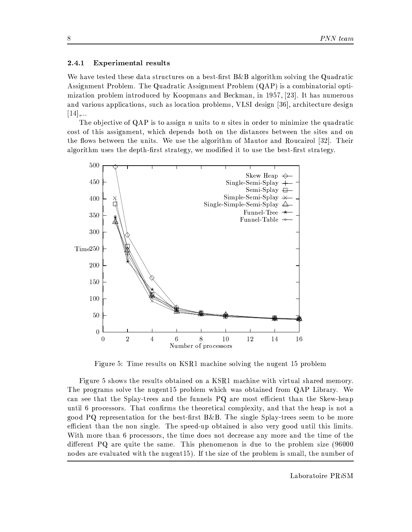#### **Experimental results** 2.4.1

We have tested these data structures on a best-first B&B algorithm solving the Quadratic Assignment Problem. The Quadratic Assignment Problem (QAP) is a combinatorial optimization problem introduced by Koopmans and Beckman, in 1957, [23]. It has numerous and various applications, such as location problems, VLSI design [36], architecture design  $[14]$ ,...

The objective of QAP is to assign n units to n sites in order to minimize the quadratic cost of this assignment, which depends both on the distances between the sites and on the flows between the units. We use the algorithm of Mautor and Roucairol [32]. Their algorithm uses the depth-first strategy, we modified it to use the best-first strategy.



Figure 5: Time results on KSR1 machine solving the nugent 15 problem

Figure 5 shows the results obtained on a KSR1 machine with virtual shared memory. The programs solve the nugent15 problem which was obtained from QAP Library. We can see that the Splay-trees and the funnels PQ are most efficient than the Skew-heap until 6 processors. That confirms the theoretical complexity, and that the heap is not a good PQ representation for the best-first B&B. The single Splay-trees seem to be more efficient than the non single. The speed-up obtained is also very good until this limits. With more than 6 processors, the time does not decrease any more and the time of the different PQ are quite the same. This phenomenon is due to the problem size (96000 nodes are evaluated with the nugent15). If the size of the problem is small, the number of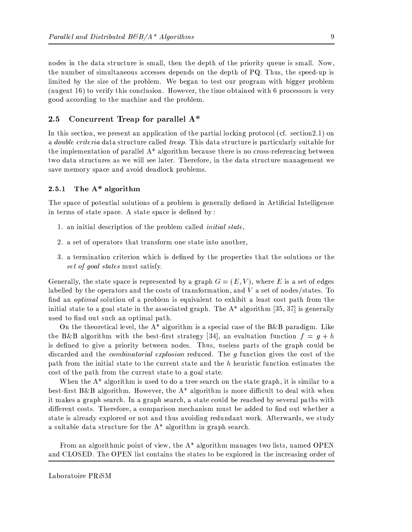nodes in the data structure is small, then the depth of the priority queue is small. Now, the number of simultaneous accesses depends on the depth of PQ. Thus, the speed-up is limited by the size of the problem. We began to test our program with bigger problem (nugent 16) to verify this conclusion. However, the time obtained with 6 processors is very good according to the machine and the problem.

#### Concurrent Treap for parallel A\*  $2.5$

In this section, we present an application of the partial locking protocol (cf. section 2.1) on a *double criteria* data structure called *treap*. This data structure is particularly suitable for the implementation of parallel A\* algorithm because there is no cross-referencing between two data structures as we will see later. Therefore, in the data structure management we save memory space and avoid deadlock problems.

#### The A\* algorithm 2.5.1

The space of potential solutions of a problem is generally defined in Artificial Intelligence in terms of state space. A state space is defined by:

- 1. an initial description of the problem called *initial state*.
- 2. a set of operators that transform one state into another,
- 3. a termination criterion which is defined by the properties that the solutions or the set of goal states must satisfy.

Generally, the state space is represented by a graph  $G = (E, V)$ , where E is a set of edges labelled by the operators and the costs of transformation, and  $V$  a set of nodes/states. To find an *optimal* solution of a problem is equivalent to exhibit a least cost path from the initial state to a goal state in the associated graph. The  $A^*$  algorithm [35, 37] is generally used to find out such an optimal path.

On the theoretical level, the  $A^*$  algorithm is a special case of the B&B paradigm. Like the B&B algorithm with the best-first strategy [34], an evaluation function  $f = g + h$ is defined to give a priority between nodes. Thus, useless parts of the graph could be discarded and the *combinatorial explosion* reduced. The *g* function gives the cost of the path from the initial state to the current state and the h heuristic function estimates the cost of the path from the current state to a goal state.

When the  $A^*$  algorithm is used to do a tree search on the state graph, it is similar to a best-first B&B algorithm. However, the  $A^*$  algorithm is more difficult to deal with when it makes a graph search. In a graph search, a state could be reached by several paths with different costs. Therefore, a comparison mechanism must be added to find out whether a state is already explored or not and thus avoiding redundant work. Afterwards, we study a suitable data structure for the  $A^*$  algorithm in graph search.

From an algorithmic point of view, the  $A^*$  algorithm manages two lists, named OPEN and CLOSED. The OPEN list contains the states to be explored in the increasing order of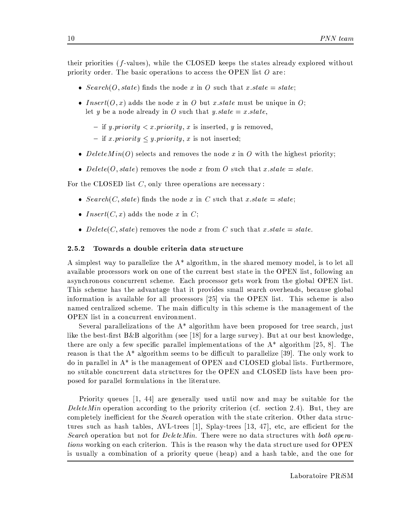their priorities (f-values), while the CLOSED keeps the states already explored without priority order. The basic operations to access the OPEN list  $O$  are:

- $Search(O, state)$  finds the node x in O such that x state = state;
- *Insert*( $O, x$ ) adds the node x in O but x state must be unique in O; let y be a node already in O such that y state = x state,
	- if *y.priority*  $\langle x \rangle$ *x.priority, x* is inserted, *y* is removed,
	- if x.priority  $\leq$  y.priority, x is not inserted;
- Delete $Min(O)$  selects and removes the node x in O with the highest priority;
- Delete(O, state) removes the node x from O such that x state = state.

For the CLOSED list  $C$ , only three operations are necessary:

- Search(C, state) finds the node x in C such that x state = state;
- *Insert*(*C*, *x*) adds the node *x* in *C*;
- Delete(C, state) removes the node x from C such that x state = state.

#### 2.5.2 Towards a double criteria data structure

A simplest way to parallelize the A<sup>\*</sup> algorithm, in the shared memory model, is to let all available processors work on one of the current best state in the OPEN list, following an asynchronous concurrent scheme. Each processor gets work from the global OPEN list. This scheme has the advantage that it provides small search overheads, because global information is available for all processors [25] via the OPEN list. This scheme is also named centralized scheme. The main difficulty in this scheme is the management of the OPEN list in a concurrent environment.

Several parallelizations of the  $A^*$  algorithm have been proposed for tree search, just like the best-first  $B\&B$  algorithm (see [18] for a large survey). But at our best knowledge, there are only a few specific parallel implementations of the  $A^*$  algorithm [25, 8]. The reason is that the  $A^*$  algorithm seems to be difficult to parallelize [39]. The only work to do in parallel in  $A^*$  is the management of OPEN and CLOSED global lists. Furthermore, no suitable concurrent data structures for the OPEN and CLOSED lists have been proposed for parallel formulations in the literature.

Priority queues [1, 44] are generally used until now and may be suitable for the DeleteMin operation according to the priority criterion (cf. section 2.4). But, they are completely inefficient for the *Search* operation with the state criterion. Other data structures such as hash tables, AVL-trees [1], Splay-trees [13, 47], etc, are efficient for the Search operation but not for DeleteMin. There were no data structures with both opera*tions* working on each criterion. This is the reason why the data structure used for OPEN is usually a combination of a priority queue (heap) and a hash table, and the one for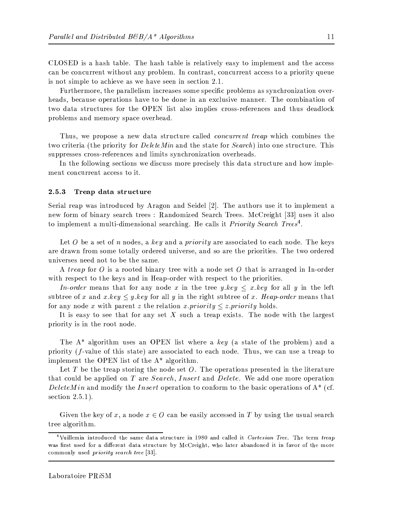CLOSED is a hash table. The hash table is relatively easy to implement and the access can be concurrent without any problem. In contrast, concurrent access to a priority queue is not simple to achieve as we have seen in section 2.1.

Furthermore, the parallelism increases some specific problems as synchronization overheads, because operations have to be done in an exclusive manner. The combination of two data structures for the OPEN list also implies cross-references and thus deadlock problems and memory space overhead.

Thus, we propose a new data structure called *concurrent treap* which combines the two criteria (the priority for *DeleteMin* and the state for *Search*) into one structure. This suppresses cross-references and limits synchronization overheads.

In the following sections we discuss more precisely this data structure and how implement concurrent access to it.

#### 2.5.3 Treap data structure

Serial reap was introduced by Aragon and Seidel [2]. The authors use it to implement a new form of binary search trees: Randomized Search Trees. McCreight [33] uses it also to implement a multi-dimensional searching. He calls it *Priority Search Trees*<sup>4</sup>.

Let O be a set of n nodes, a key and a priority are associated to each node. The keys are drawn from some totally ordered universe, and so are the priorities. The two ordered universes need not to be the same.

A *treap* for O is a rooted binary tree with a node set O that is arranged in In-order with respect to the keys and in Heap-order with respect to the priorities.

*In-order* means that for any node x in the tree y.key  $\leq x \cdot key$  for all y in the left subtree of x and x key  $\leq y$  key for all y in the right subtree of x. Heap-order means that for any node x with parent z the relation x priority  $\leq z$  priority holds.

It is easy to see that for any set  $X$  such a treap exists. The node with the largest priority is in the root node.

The  $A^*$  algorithm uses an OPEN list where a key (a state of the problem) and a priority ( $f$ -value of this state) are associated to each node. Thus, we can use a treap to implement the OPEN list of the  $A^*$  algorithm.

Let  $T$  be the treap storing the node set  $O$ . The operations presented in the literature that could be applied on T are Search, Insert and Delete. We add one more operation DeleteMin and modify the Insert operation to conform to the basic operations of  $A^*$  (cf. section  $2.5.1$ ).

Given the key of x, a node  $x \in O$  can be easily accessed in T by using the usual search tree algorithm.

<sup>&</sup>lt;sup>4</sup>Vuillemin introduced the same data structure in 1980 and called it *Cartesian Tree.* The term treap was first used for a different data structure by McCreight, who later abandoned it in favor of the more commonly used *priority* search tree [33].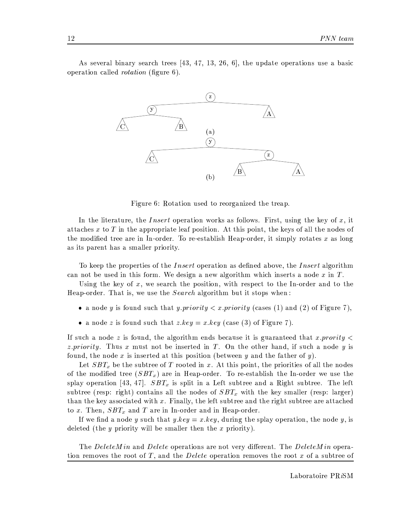As several binary search trees [43, 47, 13, 26, 6], the update operations use a basic operation called *rotation* (figure 6).



Figure 6: Rotation used to reorganized the treap.

In the literature, the *Insert* operation works as follows. First, using the key of  $x$ , it attaches  $x$  to  $T$  in the appropriate leaf position. At this point, the keys of all the nodes of the modified tree are in In-order. To re-establish Heap-order, it simply rotates x as long as its parent has a smaller priority.

To keep the properties of the *Insert* operation as defined above, the *Insert* algorithm can not be used in this form. We design a new algorithm which inserts a node  $x$  in  $T$ .

Using the key of  $x$ , we search the position, with respect to the In-order and to the Heap-order. That is, we use the *Search* algorithm but it stops when:

- a node y is found such that y priority  $\langle x, \text{priority}$  (cases (1) and (2) of Figure 7),
- a node z is found such that z  $key = x \cdot key$  (case (3) of Figure 7).

If such a node z is found, the algorithm ends because it is guaranteed that x provity  $\lt$ *z.priority.* Thus x must not be inserted in T. On the other hand, if such a node y is found, the node x is inserted at this position (between y and the father of y).

Let  $SBT_x$  be the subtree of T rooted in x. At this point, the priorities of all the nodes of the modified tree  $(SBT_x)$  are in Heap-order. To re-establish the In-order we use the splay operation [43, 47].  $SBT_x$  is split in a Left subtree and a Right subtree. The left subtree (resp: right) contains all the nodes of  $SBT_x$  with the key smaller (resp: larger) than the key associated with  $x$ . Finally, the left subtree and the right subtree are attached to x. Then,  $SBT_x$  and T are in In-order and in Heap-order.

If we find a node y such that  $y \cdot key = x \cdot key$ , during the splay operation, the node y, is deleted (the *y* priority will be smaller then the *x* priority).

The DeleteMin and Delete operations are not very different. The DeleteMin operation removes the root of T, and the *Delete* operation removes the root x of a subtree of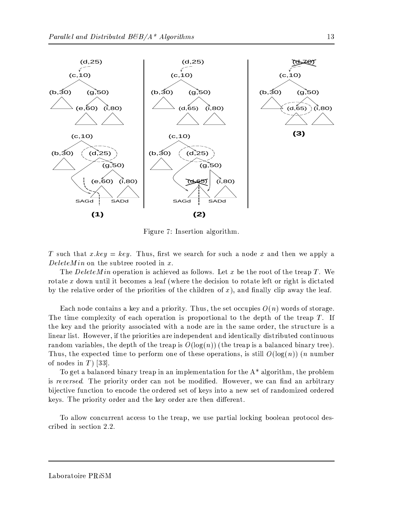

Figure 7: Insertion algorithm.

T such that  $x \text{.} key = key$ . Thus, first we search for such a node x and then we apply a  $DeleteMin$  on the subtree rooted in x.

The DeleteMin operation is achieved as follows. Let x be the root of the treap T. We rotate x down until it becomes a leaf (where the decision to rotate left or right is dictated by the relative order of the priorities of the children of  $x$ ), and finally clip away the leaf.

Each node contains a key and a priority. Thus, the set occupies  $O(n)$  words of storage. The time complexity of each operation is proportional to the depth of the treap  $T$ . If the key and the priority associated with a node are in the same order, the structure is a linear list. However, if the priorities are independent and identically distributed continuous random variables, the depth of the treap is  $O(\log(n))$  (the treap is a balanced binary tree). Thus, the expected time to perform one of these operations, is still  $O(\log(n))$  (*n* number of nodes in  $T$  [33].

To get a balanced binary treap in an implementation for the  $A^*$  algorithm, the problem is reversed. The priority order can not be modified. However, we can find an arbitrary bijective function to encode the ordered set of keys into a new set of randomized ordered keys. The priority order and the key order are then different.

To allow concurrent access to the treap, we use partial locking boolean protocol described in section 2.2.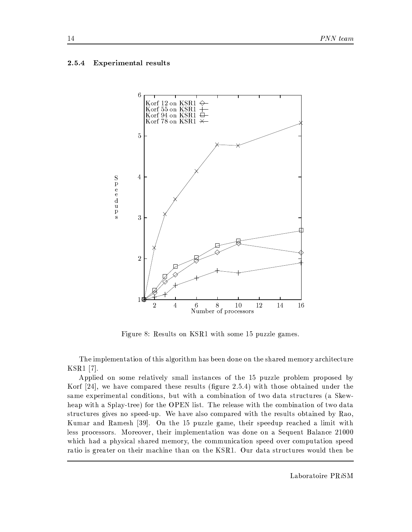#### **Experimental results** 2.5.4



Figure 8: Results on KSR1 with some 15 puzzle games.

The implementation of this algorithm has been done on the shared memory architecture  $KSR1$  [7].

Applied on some relatively small instances of the 15 puzzle problem proposed by Korf [24], we have compared these results (figure 2.5.4) with those obtained under the same experimental conditions, but with a combination of two data structures (a Skewheap with a Splay-tree) for the OPEN list. The release with the combination of two data structures gives no speed-up. We have also compared with the results obtained by Rao, Kumar and Ramesh [39]. On the 15 puzzle game, their speedup reached a limit with less processors. Moreover, their implementation was done on a Sequent Balance 21000 which had a physical shared memory, the communication speed over computation speed ratio is greater on their machine than on the KSR1. Our data structures would then be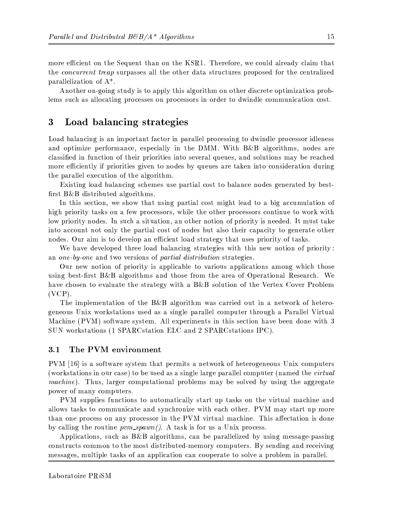more efficient on the Sequent than on the KSR1. Therefore, we could already claim that the *concurrent treap* surpasses all the other data structures proposed for the centralized parallelization of  $A^*$ .

Another on-going study is to apply this algorithm on other discrete optimization problems such as allocating processes on processors in order to dwindle communication cost.

#### 3 Load balancing strategies

Load balancing is an important factor in parallel processing to dwindle processor idleness and optimize performance, especially in the DMM. With B&B algorithms, nodes are classified in function of their priorities into several queues, and solutions may be reached more efficiently if priorities given to nodes by queues are taken into consideration during the parallel execution of the algorithm.

Existing load balancing schemes use partial cost to balance nodes generated by bestfirst B&B distributed algorithms.

In this section, we show that using partial cost might lead to a big accumulation of high priority tasks on a few processors, while the other processors continue to work with low priority nodes. In such a situation, an other notion of priority is needed. It must take into account not only the partial cost of nodes but also their capacity to generate other nodes. Our aim is to develop an efficient load strategy that uses priority of tasks.

We have developed three load balancing strategies with this new notion of priority: an one-by-one and two versions of partial distribution strategies.

Our new notion of priority is applicable to various applications among which those using best-first B&B algorithms and those from the area of Operational Research. We have chosen to evaluate the strategy with a B&B solution of the Vertex Cover Problem  $(VCP)$ .

The implementation of the  $B\&B$  algorithm was carried out in a network of heterogeneous Unix workstations used as a single parallel computer through a Parallel Virtual Machine (PVM) software system. All experiments in this section have been done with 3 SUN workstations (1 SPARCstation ELC and 2 SPARCstations IPC).

#### $3.1$ The PVM environment

PVM [16] is a software system that permits a network of heterogeneous Unix computers (workstations in our case) to be used as a single large parallel computer (named the *virtual machine*). Thus, larger computational problems may be solved by using the aggregate power of many computers.

PVM supplies functions to automatically start up tasks on the virtual machine and allows tasks to communicate and synchronize with each other. PVM may start up more than one process on any processor in the PVM virtual machine. This affectation is done by calling the routine  $pvm\text{-}spam/$ . A task is for us a Unix process.

Applications, such as  $B\&B$  algorithms, can be parallelized by using message-passing constructs common to the most distributed-memory computers. By sending and receiving messages, multiple tasks of an application can cooperate to solve a problem in parallel.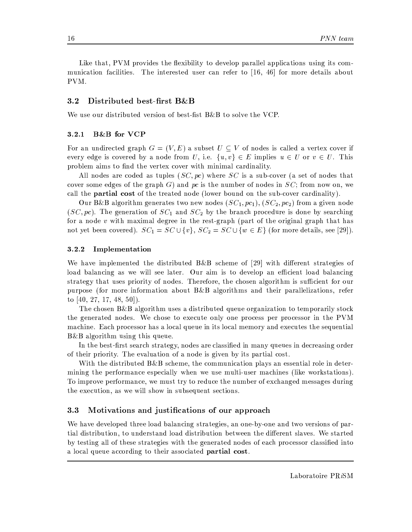Like that, PVM provides the flexibility to develop parallel applications using its communication facilities. The interested user can refer to [16, 46] for more details about PVM.

#### $3.2$ Distributed best-first B&B

We use our distributed version of best-fist  $B\&B$  to solve the VCP.

#### **B&B** for VCP  $3.2.1$

For an undirected graph  $G = (V, E)$  a subset  $U \subseteq V$  of nodes is called a vertex cover if every edge is covered by a node from U, i.e.  $\{u, v\} \in E$  implies  $u \in U$  or  $v \in U$ . This problem aims to find the vertex cover with minimal cardinality.

All nodes are coded as tuples  $(SC, pc)$  where SC is a sub-cover (a set of nodes that cover some edges of the graph  $G$ ) and pc is the number of nodes in  $SC$ ; from now on, we call the **partial cost** of the treated node (lower bound on the sub-cover cardinality).

Our B&B algorithm generates two new nodes  $(SC_1, pc_1)$ ,  $(SC_2, pc_2)$  from a given node  $(SC, pc)$ . The generation of  $SC<sub>1</sub>$  and  $SC<sub>2</sub>$  by the branch procedure is done by searching for a node  $v$  with maximal degree in the rest-graph (part of the original graph that has not yet been covered).  $SC_1 = SC \cup \{v\}$ ,  $SC_2 = SC \cup \{w \in E\}$  (for more details, see [29]).

#### 3.2.2 Implementation

We have implemented the distributed  $B\&B$  scheme of [29] with different strategies of load balancing as we will see later. Our aim is to develop an efficient load balancing strategy that uses priority of nodes. Therefore, the chosen algorithm is sufficient for our purpose (for more information about B&B algorithms and their parallelizations, refer to  $[40, 27, 17, 48, 50]$ .

The chosen B&B algorithm uses a distributed queue organization to temporarily stock the generated nodes. We chose to execute only one process per processor in the PVM machine. Each processor has a local queue in its local memory and executes the sequential  $B\&B$  algorithm using this queue.

In the best-first search strategy, nodes are classified in many queues in decreasing order of their priority. The evaluation of a node is given by its partial cost.

With the distributed  $B\&B$  scheme, the communication plays an essential role in determining the performance especially when we use multi-user machines (like workstations). To improve performance, we must try to reduce the number of exchanged messages during the execution, as we will show in subsequent sections.

#### $3.3$ Motivations and justifications of our approach

We have developed three load balancing strategies, an one-by-one and two versions of partial distribution, to understand load distribution between the different slaves. We started by testing all of these strategies with the generated nodes of each processor classified into a local queue according to their associated partial cost.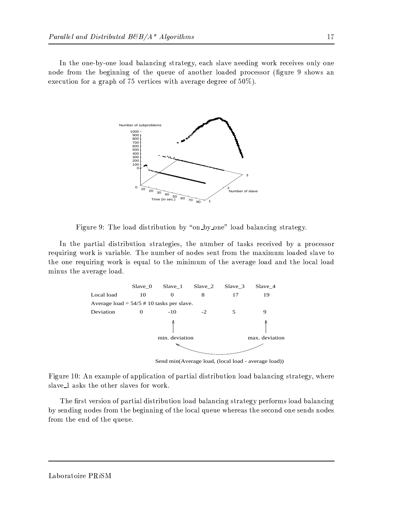In the one-by-one load balancing strategy, each slave needing work receives only one node from the beginning of the queue of another loaded processor (figure 9 shows an execution for a graph of 75 vertices with average degree of  $50\%$ ).



Figure 9: The load distribution by "on by one" load balancing strategy.

In the partial distribution strategies, the number of tasks received by a processor requiring work is variable. The number of nodes sent from the maximum loaded slave to the one requiring work is equal to the minimum of the average load and the local load minus the average load.



Send min(Average load, (local load - average load))

Figure 10: An example of application of partial distribution load balancing strategy, where slave\_1 asks the other slaves for work.

The first version of partial distribution load balancing strategy performs load balancing by sending nodes from the beginning of the local queue whereas the second one sends nodes from the end of the queue.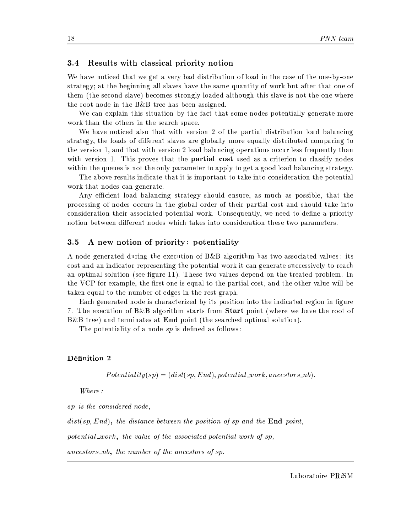#### Results with classical priority notion  $3.4$

We have noticed that we get a very bad distribution of load in the case of the one-by-one strategy; at the beginning all slaves have the same quantity of work but after that one of them (the second slave) becomes strongly loaded although this slave is not the one where the root node in the  $B\&B$  tree has been assigned.

We can explain this situation by the fact that some nodes potentially generate more work than the others in the search space.

We have noticed also that with version 2 of the partial distribution load balancing strategy, the loads of different slaves are globally more equally distributed comparing to the version 1, and that with version 2 load balancing operations occur less frequently than with version 1. This proves that the **partial cost** used as a criterion to classify nodes within the queues is not the only parameter to apply to get a good load balancing strategy.

The above results indicate that it is important to take into consideration the potential work that nodes can generate.

Any efficient load balancing strategy should ensure, as much as possible, that the processing of nodes occurs in the global order of their partial cost and should take into consideration their associated potential work. Consequently, we need to define a priority notion between different nodes which takes into consideration these two parameters.

#### A new notion of priority: potentiality  $3.5$

A node generated during the execution of B&B algorithm has two associated values: its cost and an indicator representing the potential work it can generate successively to reach an optimal solution (see figure 11). These two values depend on the treated problem. In the VCP for example, the first one is equal to the partial cost, and the other value will be taken equal to the number of edges in the rest-graph.

Each generated node is characterized by its position into the indicated region in figure 7. The execution of B&B algorithm starts from **Start** point (where we have the root of  $B\&B$  tree) and terminates at **End** point (the searched optimal solution).

The potentiality of a node  $sp$  is defined as follows:

### Définition 2

 $Potentiality(sp) = (dist(sp, End), potential\_work, ancestors\_nb).$ 

Where:

sp is the considered node,

 $dist(sp, End)$ , the distance between the position of sp and the End point,

potential\_work, the value of the associated potential work of sp,

 $ancestors<sub>-nb</sub>, the number of the ancestors of sp.$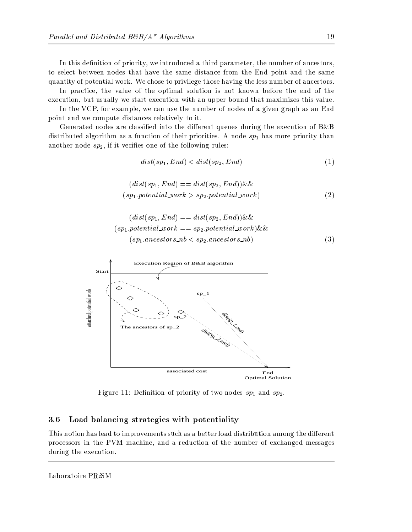In this definition of priority, we introduced a third parameter, the number of ancestors, to select between nodes that have the same distance from the End point and the same quantity of potential work. We chose to privilege those having the less number of ancestors.

In practice, the value of the optimal solution is not known before the end of the execution, but usually we start execution with an upper bound that maximizes this value.

In the VCP, for example, we can use the number of nodes of a given graph as an End point and we compute distances relatively to it.

Generated nodes are classified into the different queues during the execution of  $B\&B$ distributed algorithm as a function of their priorities. A node  $sp<sub>1</sub>$  has more priority than another node  $sp_2$ , if it verifies one of the following rules:

$$
dist(sp_1, End) < dist(sp_2, End) \tag{1}
$$

$$
(dist(sp_1, End) == dist(sp_2, End)) \&\&\tag{2}
$$
\n
$$
(sp_1.potential\_work > sp_2.potential\_work)
$$

$$
(dist(sp_1, End) == dist(sp_2, End)) \& \& (sp_1.potential\_work == sp_2.potential\_work) \& \& (sp_1.nncestors\_nb < sp_2.nncestors\_nb) \tag{3}
$$



Figure 11: Definition of priority of two nodes  $sp_1$  and  $sp_2$ .

#### Load balancing strategies with potentiality 3.6

This notion has lead to improvements such as a better load distribution among the different processors in the PVM machine, and a reduction of the number of exchanged messages during the execution.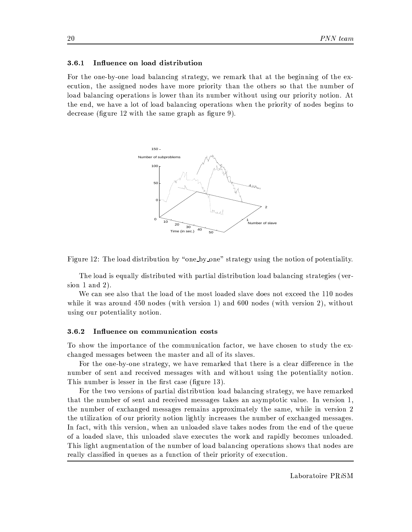#### Influence on load distribution 3.6.1

For the one-by-one load balancing strategy, we remark that at the beginning of the execution, the assigned nodes have more priority than the others so that the number of load balancing operations is lower than its number without using our priority notion. At the end, we have a lot of load balancing operations when the priority of nodes begins to decrease (figure 12 with the same graph as figure 9).





The load is equally distributed with partial distribution load balancing strategies (version 1 and 2).

We can see also that the load of the most loaded slave does not exceed the 110 nodes while it was around 450 nodes (with version 1) and 600 nodes (with version 2), without using our potentiality notion.

#### 3.6.2 Influence on communication costs

To show the importance of the communication factor, we have chosen to study the exchanged messages between the master and all of its slaves.

For the one-by-one strategy, we have remarked that there is a clear difference in the number of sent and received messages with and without using the potentiality notion. This number is lesser in the first case (figure 13).

For the two versions of partial distribution load balancing strategy, we have remarked that the number of sent and received messages takes an asymptotic value. In version 1, the number of exchanged messages remains approximately the same, while in version 2 the utilization of our priority notion lightly increases the number of exchanged messages. In fact, with this version, when an unloaded slave takes nodes from the end of the queue of a loaded slave, this unloaded slave executes the work and rapidly becomes unloaded. This light augmentation of the number of load balancing operations shows that nodes are really classified in queues as a function of their priority of execution.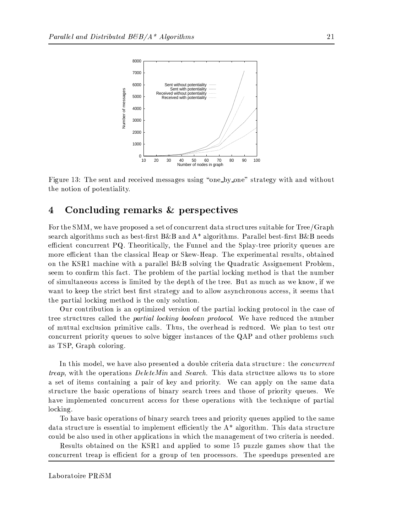

Figure 13: The sent and received messages using "one-by-one" strategy with and without the notion of potentiality.

#### Concluding remarks & perspectives 4

For the SMM, we have proposed a set of concurrent data structures suitable for Tree/Graph search algorithms such as best-first B&B and  $A^*$  algorithms. Parallel best-first B&B needs efficient concurrent PQ. Theoritically, the Funnel and the Splay-tree priority queues are more efficient than the classical Heap or Skew-Heap. The experimental results, obtained on the KSR1 machine with a parallel B&B solving the Quadratic Assignement Problem. seem to confirm this fact. The problem of the partial locking method is that the number of simultaneous access is limited by the depth of the tree. But as much as we know, if we want to keep the strict best first strategy and to allow asynchronous access, it seems that the partial locking method is the only solution.

Our contribution is an optimized version of the partial locking protocol in the case of tree structures called the *partial locking boolean protocol*. We have reduced the number of mutual exclusion primitive calls. Thus, the overhead is reduced. We plan to test our concurrent priority queues to solve bigger instances of the QAP and other problems such as TSP, Graph coloring.

In this model, we have also presented a double criteria data structure: the *concurrent treap*, with the operations *DeleteMin* and *Search*. This data structure allows us to store a set of items containing a pair of key and priority. We can apply on the same data structure the basic operations of binary search trees and those of priority queues. We have implemented concurrent access for these operations with the technique of partial locking.

To have basic operations of binary search trees and priority queues applied to the same data structure is essential to implement efficiently the  $A^*$  algorithm. This data structure could be also used in other applications in which the management of two criteria is needed.

Results obtained on the KSR1 and applied to some 15 puzzle games show that the concurrent treap is efficient for a group of ten processors. The speedups presented are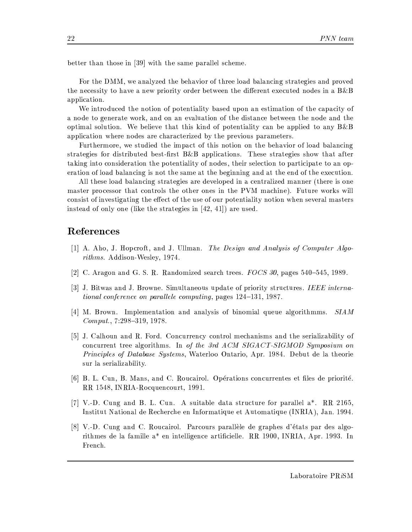better than those in [39] with the same parallel scheme.

For the DMM, we analyzed the behavior of three load balancing strategies and proved the necessity to have a new priority order between the different executed nodes in a B&B application.

We introduced the notion of potentiality based upon an estimation of the capacity of a node to generate work, and on an evaluation of the distance between the node and the optimal solution. We believe that this kind of potentiality can be applied to any  $B\&B$ application where nodes are characterized by the previous parameters.

Furthermore, we studied the impact of this notion on the behavior of load balancing strategies for distributed best-first  $B\&B$  applications. These strategies show that after taking into consideration the potentiality of nodes, their selection to participate to an operation of load balancing is not the same at the beginning and at the end of the execution.

All these load balancing strategies are developed in a centralized manner (there is one master processor that controls the other ones in the PVM machine). Future works will consist of investigating the effect of the use of our potentiality notion when several masters instead of only one (like the strategies in  $[42, 41]$ ) are used.

### References

- [1] A. Aho, J. Hopcroft, and J. Ullman. The Design and Analysis of Computer Algorithms. Addison-Wesley, 1974.
- [2] C. Aragon and G. S. R. Randomized search trees. FOCS 30, pages 540–545, 1989.
- [3] J. Bitwas and J. Browne. Simultaneous update of priority structures. IEEE international conference on parallele computing, pages 124-131, 1987.
- [4] M. Brown. Implementation and analysis of binomial queue algorithmms.  $SIAM$  $Comput., 7:298-319, 1978.$
- [5] J. Calhoun and R. Ford. Concurrency control mechanisms and the serializability of concurrent tree algorithms. In of the 3rd ACM SIGACT-SIGMOD Symposium on *Principles of Database Systems*, Waterloo Ontario, Apr. 1984. Debut de la theorie sur la serializability.
- [6] B. L. Cun, B. Mans, and C. Roucairol. Opérations concurrentes et files de priorité. RR 1548, INRIA-Rocquencourt, 1991.
- [7] V.-D. Cung and B. L. Cun. A suitable data structure for parallel  $a^*$ . RR 2165, Institut National de Recherche en Informatique et Automatique (INRIA), Jan. 1994.
- [8] V.-D. Cung and C. Roucairol. Parcours parallèle de graphes d'états par des algorithmes de la famille a<sup>\*</sup> en intelligence artificielle. RR 1900, INRIA, Apr. 1993. In French.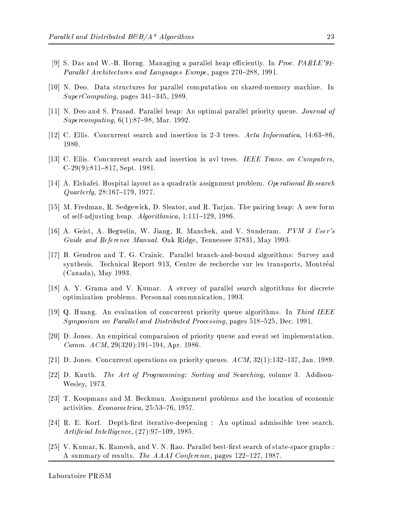- [9] S. Das and W.-B. Horng. Managing a parallel heap efficiently. In Proc. PARLE'91-Parallel Architectures and Languages Europe, pages 270-288, 1991.
- [10] N. Deo. Data structures for parallel computation on shared-memory machine. In  $SuperComputing$ , pages 341-345, 1989.
- [11] N. Deo and S. Prasad. Parallel heap: An optimal parallel priority queue. *Journal of Supercomputing*,  $6(1):87-98$ , Mar. 1992.
- [12] C. Ellis. Concurrent search and insertion in 2-3 trees. Acta Informatica, 14:63-86, 1980.
- [13] C. Ellis. Concurrent search and insertion in avl trees. IEEE Trans. on Cumputers,  $C-29(9)$ :811-817, Sept. 1981.
- [14] A. Elshafei. Hospital layout as a quadratic assignment problem. Operational Research  $Quarterly, 28:167-179, 1977.$
- [15] M. Fredman, R. Sedgewick, D. Sleator, and R. Tarjan. The pairing heap: A new form of self-adjusting heap.  $Algorithmica$ , 1:111-129, 1986.
- [16] A. Geist, A. Beguelin, W. Jiang, R. Manchek, and V. Sunderam. PVM 3 User's Guide and Reference Manual. Oak Ridge, Tennessee 37831, May 1993.
- [17] B. Gendron and T. G. Crainic. Parallel branch-and-bound algorithms: Survey and synthesis. Technical Report 913, Centre de recherche sur les transports, Montréal (Canada), May 1993.
- [18] A. Y. Grama and V. Kumar. A survey of parallel search algorithms for discrete optimization problems. Personnal communication, 1993.
- [19] Q. Huang. An evaluation of concurrent priority queue algorithms. In Third IEEE Symposium on Parallel and Distributed Processing, pages 518-525, Dec. 1991.
- [20] D. Jones. An empirical comparaison of priority queue and event set implementation. *Comm. ACM*,  $29(320):191-194$ , Apr. 1986.
- [21] D. Jones. Concurrent operations on priority queues.  $ACM$ ,  $32(1)$ :132-137, Jan. 1989.
- [22] D. Knuth. The Art of Programming: Sorting and Searching, volume 3. Addison-Wesley, 1973.
- [23] T. Koopmans and M. Beckman. Assignment problems and the location of economic activities. Econometrica, 25:53-76, 1957.
- [24] R. E. Korf. Depth-first iterative-deepening : An optimal admissible tree search. Artificial Intelligence,  $(27):97-109, 1985.$
- [25] V. Kumar, K. Ramesh, and V. N. Rao. Parallel best-first search of state-space graphs: A summary of results. The AAAI Conference, pages 122–127, 1987.

Laboratoire PRiSM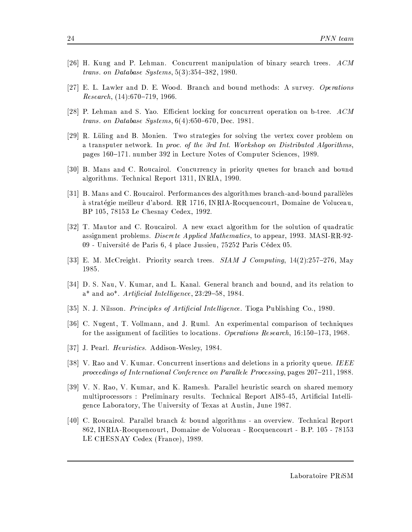- [26] H. Kung and P. Lehman. Concurrent manipulation of binary search trees.  $ACM$ *trans.* on Database Systems,  $5(3)$ :  $354-382$ , 1980.
- [27] E. L. Lawler and D. E. Wood. Branch and bound methods: A survey. Operations *Research*,  $(14):670-719, 1966$ .
- [28] P. Lehman and S. Yao. Efficient locking for concurrent operation on b-tree.  $ACM$ trans. on Database Systems,  $6(4)$ :650-670, Dec. 1981.
- [29] R. Lüling and B. Monien. Two strategies for solving the vertex cover problem on a transputer network. In proc. of the 3rd Int. Workshop on Distributed Algorithms. pages 160–171. number 392 in Lecture Notes of Computer Sciences, 1989.
- [30] B. Mans and C. Roucairol. Concurrency in priority queues for branch and bound algorithms. Technical Report 1311, INRIA, 1990.
- [31] B. Mans and C. Roucairol. Performances des algorithmes branch-and-bound paralleles à stratégie meilleur d'abord. RR 1716, INRIA-Rocquencourt, Domaine de Voluceau, BP 105, 78153 Le Chesnay Cedex, 1992.
- [32] T. Mautor and C. Roucairol. A new exact algorithm for the solution of quadratic assignment problems. *Discrete Applied Mathematics*, to appear, 1993. MASI-RR-92-09 - Université de Paris 6, 4 place Jussieu, 75252 Paris Cédex 05.
- [33] E. M. McCreight. Priority search trees.  $SIAMJ$  Computing,  $14(2):257-276$ , May 1985.
- [34] D. S. Nau, V. Kumar, and L. Kanal. General branch and bound, and its relation to  $a^*$  and  $a^*$ . Artificial Intelligence, 23:29-58, 1984.
- [35] N. J. Nilsson. *Principles of Artificial Intelligence*. Tioga Publishing Co., 1980.
- [36] C. Nugent, T. Vollmann, and J. Ruml. An experimental comparison of techniques for the assignment of facilities to locations. Operations Research,  $16:150-173$ ,  $1968$ .
- [37] J. Pearl. *Heuristics*. Addison-Wesley, 1984.
- [38] V. Rao and V. Kumar. Concurrent insertions and deletions in a priority queue. IEEE proceedings of International Conference on Parallele Processing, pages 207-211, 1988.
- [39] V. N. Rao, V. Kumar, and K. Ramesh. Parallel heuristic search on shared memory multiprocessors: Preliminary results. Technical Report AI85-45, Artificial Intelligence Laboratory, The University of Texas at Austin, June 1987.
- [40] C. Roucairol. Parallel branch & bound algorithms an overview. Technical Report 862, INRIA-Rocquencourt, Domaine de Voluceau - Rocquencourt - B.P. 105 - 78153 LE CHESNAY Cedex (France), 1989.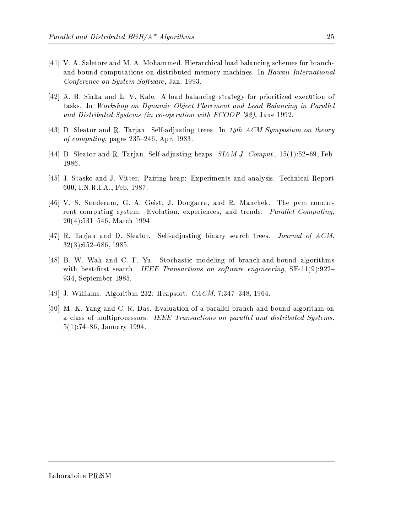- [41] V. A. Saletore and M. A. Mohammed. Hierarchical load balancing schemes for branchand-bound computations on distributed memory machines. In Hawaii International Conference on System Software, Jan. 1993.
- [42] A. B. Sinha and L. V. Kale. A load balancing strategy for prioritized execution of tasks. In Workshop on Dynamic Object Placement and Load Balancing in Parallel and Distributed Systems (in co-operation with ECOOP '92), June 1992.
- [43] D. Sleator and R. Tarjan. Self-adjusting trees. In 15th ACM Symposium on theory of computing, pages  $235-246$ , Apr. 1983.
- [44] D. Sleator and R. Tarjan. Self-adjusting heaps.  $SIAMJ$ . Comput., 15(1):52-69, Feb. 1986.
- [45] J. Stasko and J. Vitter. Pairing heap: Experiments and analysis. Technical Report 600, I.N.R.I.A., Feb. 1987.
- [46] V. S. Sunderam, G. A. Geist, J. Dongarra, and R. Manchek. The pvm concurrent computing system: Evolution, experiences, and trends. Parallel Computing,  $20(4):531-546$ , March 1994.
- [47] R. Tarjan and D. Sleator. Self-adjusting binary search trees. Journal of ACM,  $32(3):652-686, 1985.$
- [48] B. W. Wah and C. F. Yu. Stochastic modeling of branch-and-bound algorithms with best-first search. IEEE Transactions on software engineering,  $SE-11(9):922-$ 934, September 1985.
- [49] J. Williams. Algorithm 232: Heapsort. *CACM*, 7:347-348, 1964.
- [50] M. K. Yang and C. R. Das. Evaluation of a parallel branch-and-bound algorithm on a class of multiprocessors. IEEE Transactions on parallel and distributed Systems,  $5(1)$ :74-86, January 1994.